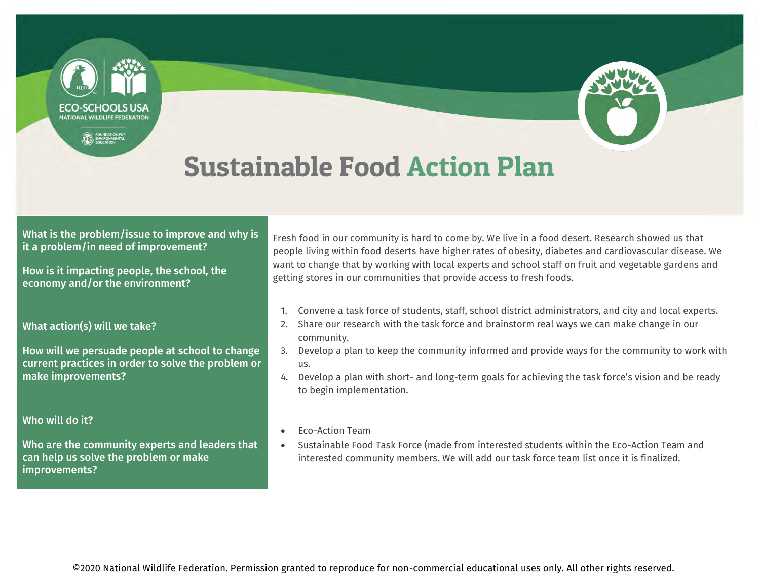

Who will do it?

improvements?

can help us solve the problem or make

Who are the community experts and leaders that • Eco-Action Team

• Sustainable Food Task Force (made from interested students within the Eco-Action Team and interested community members. We will add our task force team list once it is finalized.